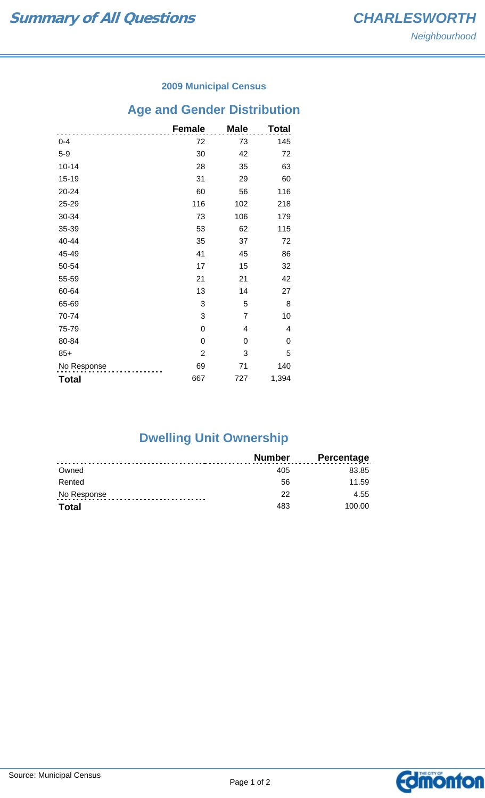#### **2009 Municipal Census**

# **Age and Gender Distribution**

|              | <b>Female</b> | <b>Male</b>    | Total |
|--------------|---------------|----------------|-------|
| $0 - 4$      | 72            | 73             | 145   |
| $5-9$        | 30            | 42             | 72    |
| $10 - 14$    | 28            | 35             | 63    |
| 15-19        | 31            | 29             | 60    |
| 20-24        | 60            | 56             | 116   |
| 25-29        | 116           | 102            | 218   |
| 30-34        | 73            | 106            | 179   |
| 35-39        | 53            | 62             | 115   |
| 40-44        | 35            | 37             | 72    |
| 45-49        | 41            | 45             | 86    |
| 50-54        | 17            | 15             | 32    |
| 55-59        | 21            | 21             | 42    |
| 60-64        | 13            | 14             | 27    |
| 65-69        | 3             | 5              | 8     |
| 70-74        | 3             | $\overline{7}$ | 10    |
| 75-79        | 0             | 4              | 4     |
| 80-84        | 0             | 0              | 0     |
| $85+$        | $\mathbf{2}$  | 3              | 5     |
| No Response  | 69            | 71             | 140   |
| <b>Total</b> | 667           | 727            | 1,394 |

## **Dwelling Unit Ownership**

|              | <b>Number</b> | <b>Percentage</b> |
|--------------|---------------|-------------------|
| Owned        | 405           | 83.85             |
| Rented       | 56            | 11.59             |
| No Response  | 22            | 4.55              |
| <b>Total</b> | 483           | 100.00            |